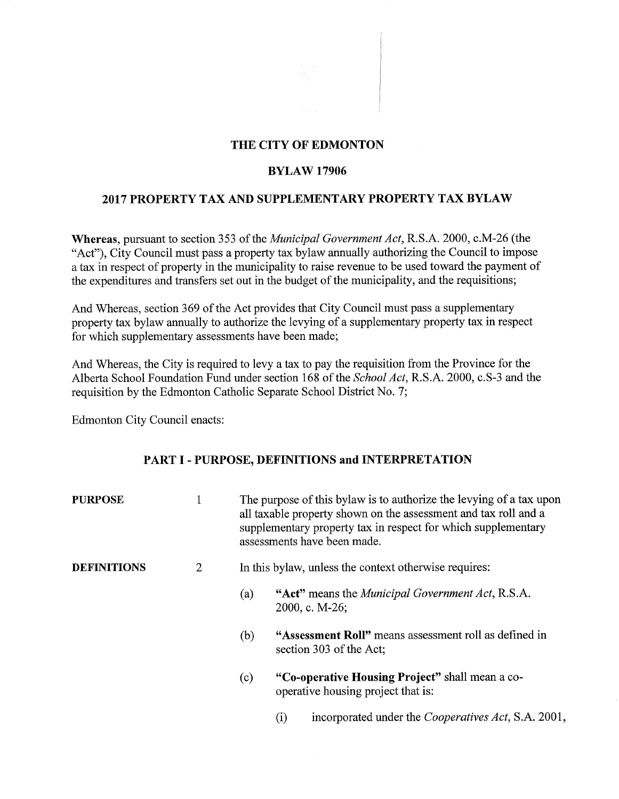#### THE CITY OF EDMONTON

#### BYLAW 17906

### 2017 PROPERTY TAX AND SUPPLEMENTARY PROPERTY TAX BYLAW

Whereas, pursuant to section 353 of the *Municipal Government Act,* R.S.A. 2000, c.M-26 (the "Act"), City Council must pass a property tax bylaw annually authorizing the Council to impose a tax in respect of property in the municipality to raise revenue to be used toward the payment of the expenditures and transfers set out in the budget of the municipality, and the requisitions;

And Whereas, section 369 of the Act provides that City Council must pass a supplementary property tax bylaw annually to authorize the levying of a supplementary property tax in respect for which supplementary assessments have been made;

And Whereas, the City is required to levy a tax to pay the requisition from the Province for the Alberta School Foundation Fund under section 168 of the *School Act,* R.S.A. 2000, c.S-3 and the requisition by the Edmonton Catholic Separate School District No. 7;

Edmonton City Council enacts:

# PART I - PURPOSE, DEFINITIONS and INTERPRETATION

| <b>PURPOSE</b>     | 1              | The purpose of this bylaw is to authorize the levying of a tax upon<br>all taxable property shown on the assessment and tax roll and a<br>supplementary property tax in respect for which supplementary<br>assessments have been made. |  |  |
|--------------------|----------------|----------------------------------------------------------------------------------------------------------------------------------------------------------------------------------------------------------------------------------------|--|--|
| <b>DEFINITIONS</b> | $\overline{2}$ | In this bylaw, unless the context otherwise requires:                                                                                                                                                                                  |  |  |
|                    |                | "Act" means the <i>Municipal Government Act</i> , R.S.A.<br>(a)<br>2000, c. M-26;                                                                                                                                                      |  |  |
|                    |                | "Assessment Roll" means assessment roll as defined in<br>(b)<br>section 303 of the Act;                                                                                                                                                |  |  |
|                    |                | "Co-operative Housing Project" shall mean a co-<br>(c)<br>operative housing project that is:                                                                                                                                           |  |  |
|                    |                | incorporated under the <i>Cooperatives Act</i> , S.A. 2001,<br>$\rm (i)$                                                                                                                                                               |  |  |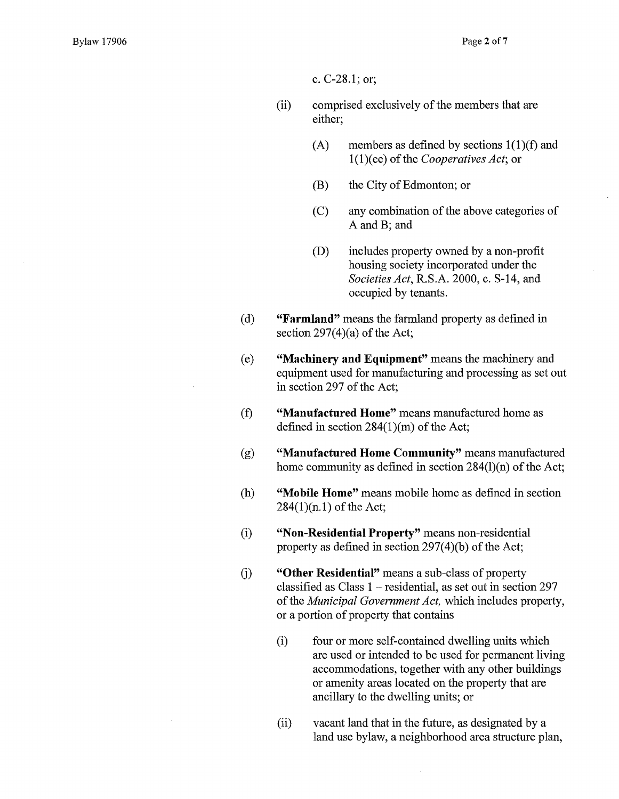c. C-28.1; or;

- (ii) comprised exclusively of the members that are either;
	- (A) members as defined by sections  $1(1)(f)$  and 1(1)(ee) of the *Cooperatives Act;* or
	- (B) the City of Edmonton; or
	- (C) any combination of the above categories of A and B; and
	- (D) includes property owned by a non-profit housing society incorporated under the *Societies Act,* R.S.A. 2000, c. S-14, and occupied by tenants.
- **(d) "Farmland"** means the farmland property as defined in section  $297(4)(a)$  of the Act;
- **(e) "Machinery and Equipment"** means the machinery and equipment used for manufacturing and processing as set out in section 297 of the Act;
- **(f) "Manufactured Home"** means manufactured home as defined in section 284(1)(m) of the Act;
- **(g) "Manufactured Home Community"** means manufactured home community as defined in section 284(1)(n) of the Act;
- **(h) "Mobile Home"** means mobile home as defined in section 284(1)(n.1) of the Act;
- **(i) "Non-Residential Property"** means non-residential property as defined in section 297(4)(b) of the Act;
- **(i) "Other Residential"** means a sub-class of property classified as Class 1 — residential, as set out in section 297 of the *Municipal Government Act,* which includes property, or a portion of property that contains
	- (i) four or more self-contained dwelling units which are used or intended to be used for permanent living accommodations, together with any other buildings or amenity areas located on the property that are ancillary to the dwelling units; or
	- (ii) vacant land that in the future, as designated by a land use bylaw, a neighborhood area structure plan,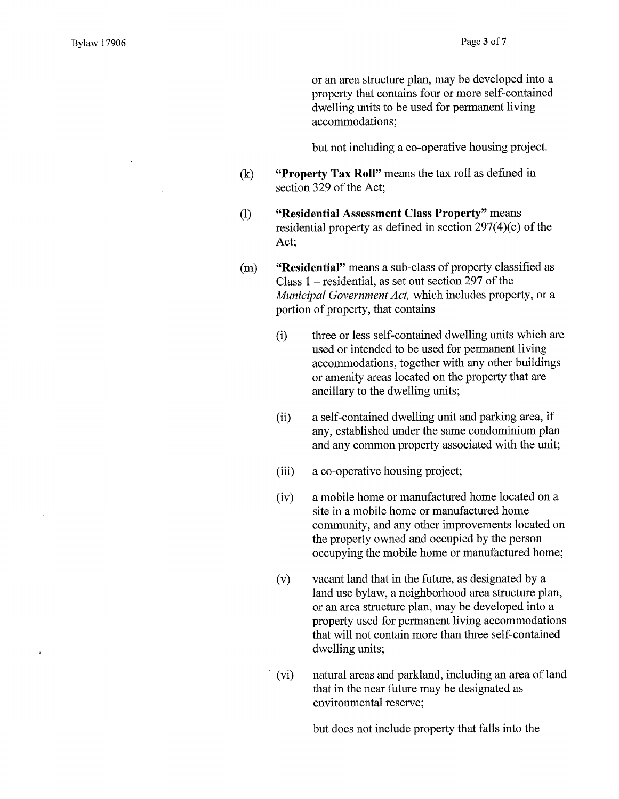$\bar{\kappa}$ 

or an area structure plan, may be developed into a property that contains four or more self-contained dwelling units to be used for permanent living accommodations;

but not including a co-operative housing project.

- $(k)$ **"Property Tax Roll"** means the tax roll as defined in section 329 of the Act;
- **"Residential Assessment Class Property"** means  $(1)$ residential property as defined in section 297(4)(c) of the Act;
- **"Residential"** means a sub-class of property classified as  $(m)$ Class 1 — residential, as set out section 297 of the *Municipal Government Act,* which includes property, or a portion of property, that contains
	- (i) three or less self-contained dwelling units which are used or intended to be used for permanent living accommodations, together with any other buildings or amenity areas located on the property that are ancillary to the dwelling units;
	- (ii) a self-contained dwelling unit and parking area, if any, established under the same condominium plan and any common property associated with the unit;
	- (iii) a co-operative housing project;
	- (iv) a mobile home or manufactured home located on a site in a mobile home or manufactured home community, and any other improvements located on the property owned and occupied by the person occupying the mobile home or manufactured home;
	- (v) vacant land that in the future, as designated by a land use bylaw, a neighborhood area structure plan, or an area structure plan, may be developed into a property used for permanent living accommodations that will not contain more than three self-contained dwelling units;
	- (vi) natural areas and parkland, including an area of land that in the near future may be designated as environmental reserve;

but does not include property that falls into the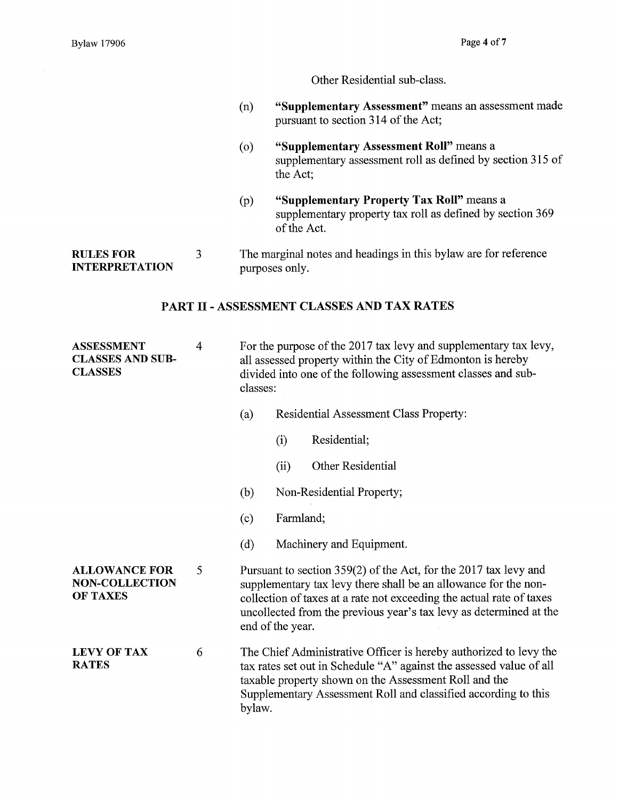Other Residential sub-class.

- **(n) "Supplementary Assessment"** means an assessment made pursuant to section 314 of the Act;
- **(o) "Supplementary Assessment Roll"** means a supplementary assessment roll as defined by section 315 of the Act;
- **(p) "Supplementary Property Tax Roll"** means a supplementary property tax roll as defined by section 369 of the Act.

RULES FOR 3 The marginal notes and headings in this bylaw are for reference INTERPRETATION purposes only.

# **PART II- ASSESSMENT CLASSES AND TAX RATES**

ASSESSMENT 4 For the purpose of the 2017 tax levy and supplementary tax levy,<br>CLASSES AND SUB-all assessed property within the City of Edmonton is hereby CLASSES AND SUB-<br>
all assessed property within the City of Edmonton is hereby<br>
cLASSES<br>
divided into one of the following assessment classes and sub divided into one of the following assessment classes and subclasses:

- (a) Residential Assessment Class Property:
	- (i) Residential;
	- (ii) Other Residential
- (b) Non-Residential Property;
- (c) Farmland;
- (d) Machinery and Equipment.

ALLOWANCE FOR 5 Pursuant to section 359(2) of the Act, for the 2017 tax levy and **NON-COLLECTION** supplementary tax levy there shall be an allowance for the non-<br>OF TAXES collection of taxes at a rate not exceeding the actual rate of taxe collection of taxes at a rate not exceeding the actual rate of taxes uncollected from the previous year's tax levy as determined at the end of the year.

LEVY OF TAX 6 The Chief Administrative Officer is hereby authorized to levy the RATES tax rates set out in Schedule "A" against the assessed value of all taxable property shown on the Assessment Roll and the Supplementary Assessment Roll and classified according to this bylaw.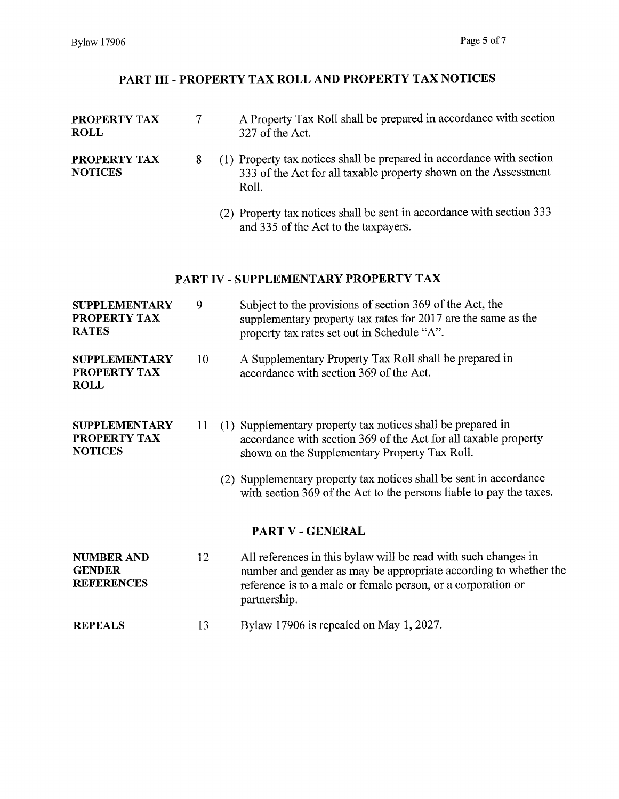# PART III - PROPERTY TAX ROLL AND PROPERTY TAX NOTICES

| PROPERTY TAX<br><b>ROLL</b>                             | $\tau$ | A Property Tax Roll shall be prepared in accordance with section<br>327 of the Act.                                                                                                                                |  |  |
|---------------------------------------------------------|--------|--------------------------------------------------------------------------------------------------------------------------------------------------------------------------------------------------------------------|--|--|
| PROPERTY TAX<br><b>NOTICES</b>                          | 8      | (1) Property tax notices shall be prepared in accordance with section<br>333 of the Act for all taxable property shown on the Assessment<br>Roll.                                                                  |  |  |
|                                                         |        | (2) Property tax notices shall be sent in accordance with section 333<br>and 335 of the Act to the taxpayers.                                                                                                      |  |  |
|                                                         |        | PART IV - SUPPLEMENTARY PROPERTY TAX                                                                                                                                                                               |  |  |
| <b>SUPPLEMENTARY</b><br>PROPERTY TAX<br><b>RATES</b>    | 9      | Subject to the provisions of section 369 of the Act, the<br>supplementary property tax rates for 2017 are the same as the<br>property tax rates set out in Schedule "A".                                           |  |  |
| <b>SUPPLEMENTARY</b><br>PROPERTY TAX<br><b>ROLL</b>     | 10     | A Supplementary Property Tax Roll shall be prepared in<br>accordance with section 369 of the Act.                                                                                                                  |  |  |
| <b>SUPPLEMENTARY</b><br>PROPERTY TAX<br><b>NOTICES</b>  | 11     | (1) Supplementary property tax notices shall be prepared in<br>accordance with section 369 of the Act for all taxable property<br>shown on the Supplementary Property Tax Roll.                                    |  |  |
|                                                         |        | (2) Supplementary property tax notices shall be sent in accordance<br>with section 369 of the Act to the persons liable to pay the taxes.                                                                          |  |  |
|                                                         |        | PART V - GENERAL                                                                                                                                                                                                   |  |  |
| <b>NUMBER AND</b><br><b>GENDER</b><br><b>REFERENCES</b> | 12     | All references in this bylaw will be read with such changes in<br>number and gender as may be appropriate according to whether the<br>reference is to a male or female person, or a corporation or<br>partnership. |  |  |
| <b>REPEALS</b>                                          | 13     | Bylaw 17906 is repealed on May 1, 2027.                                                                                                                                                                            |  |  |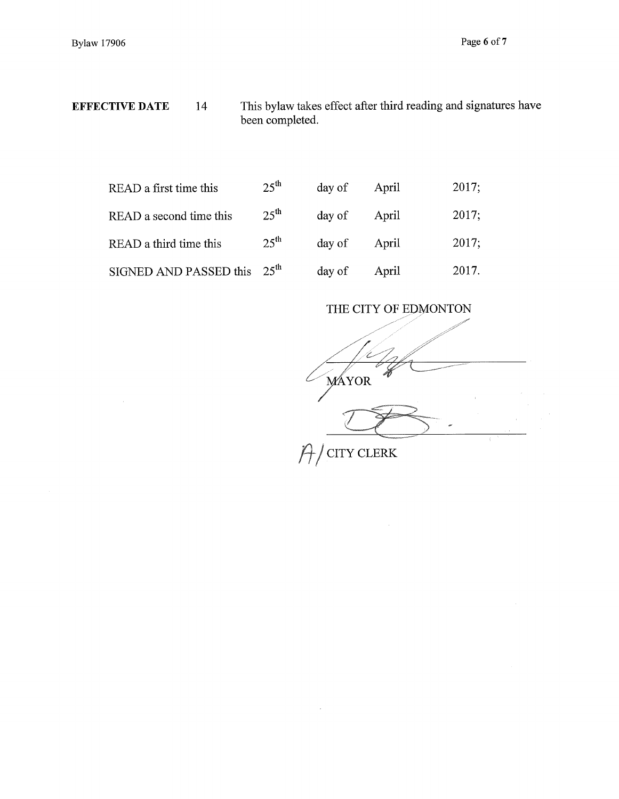EFFECTIVE DATE 14 This bylaw takes effect after third reading and signatures have been completed.

| READ a first time this        | $25^{\text{th}}$ | day of | April | 2017; |
|-------------------------------|------------------|--------|-------|-------|
| READ a second time this       | $25^{\text{th}}$ | day of | April | 2017; |
| READ a third time this        | $25^{\text{th}}$ | day of | April | 2017; |
| $SIGNED AND PASSED this 25th$ |                  | day of | April | 2017. |

 $\bar{z}$ 

THE CITY OF EDMONTON MAYOR CITY CLERK Ĥ